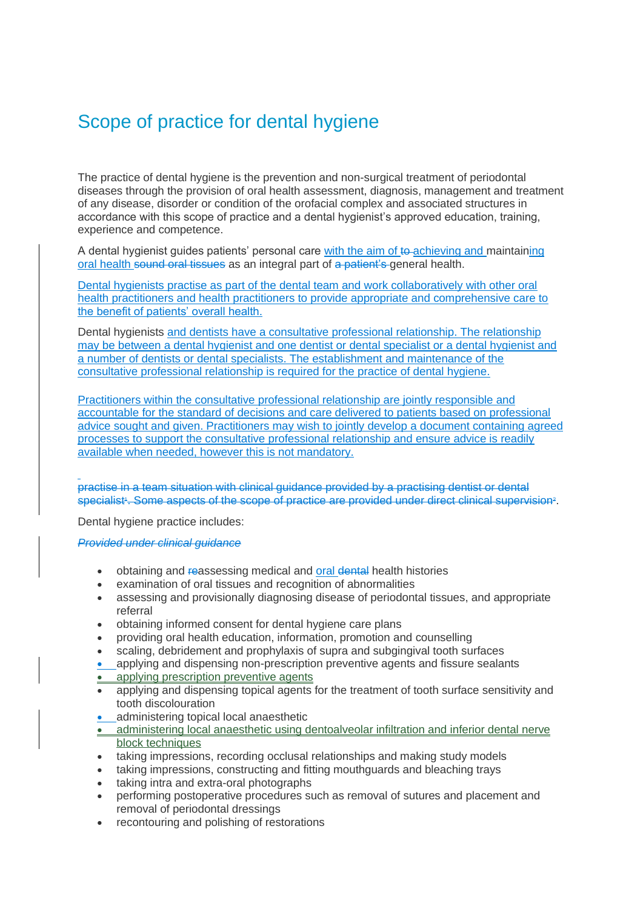## Scope of practice for dental hygiene

The practice of dental hygiene is the prevention and non-surgical treatment of periodontal diseases through the provision of oral health assessment, diagnosis, management and treatment of any disease, disorder or condition of the orofacial complex and associated structures in accordance with this scope of practice and a dental hygienist's approved education, training, experience and competence.

A dental hygienist guides patients' personal care with the aim of to achieving and maintaining oral health sound oral tissues as an integral part of a patient's general health.

Dental hygienists practise as part of the dental team and work collaboratively with other oral health practitioners and health practitioners to provide appropriate and comprehensive care to the benefit of patients' overall health.

Dental hygienists and dentists have a consultative professional relationship. The relationship may be between a dental hygienist and one dentist or dental specialist or a dental hygienist and a number of dentists or dental specialists. The establishment and maintenance of the consultative professional relationship is required for the practice of dental hygiene.

Practitioners within the consultative professional relationship are jointly responsible and accountable for the standard of decisions and care delivered to patients based on professional advice sought and given. Practitioners may wish to jointly develop a document containing agreed processes to support the consultative professional relationship and ensure advice is readily available when needed, however this is not mandatory.

practise in a team situation with clinical guidance provided by a practising dentist or dental specialist<sup>,</sup> Some aspects of the scope of practice are provided under direct clinical supervision<sup>2</sup>.

Dental hygiene practice includes:

*Provided under clinical guidance*

- obtaining and reassessing medical and oral dental health histories
- examination of oral tissues and recognition of abnormalities
- assessing and provisionally diagnosing disease of periodontal tissues, and appropriate referral
- obtaining informed consent for dental hygiene care plans
- providing oral health education, information, promotion and counselling
- scaling, debridement and prophylaxis of supra and subgingival tooth surfaces
- applying and dispensing non-prescription preventive agents and fissure sealants
- applying prescription preventive agents
- applying and dispensing topical agents for the treatment of tooth surface sensitivity and tooth discolouration
- administering topical local anaesthetic
- administering local anaesthetic using dentoalveolar infiltration and inferior dental nerve block techniques
- taking impressions, recording occlusal relationships and making study models
- taking impressions, constructing and fitting mouthguards and bleaching trays
- taking intra and extra-oral photographs
- performing postoperative procedures such as removal of sutures and placement and removal of periodontal dressings
- recontouring and polishing of restorations